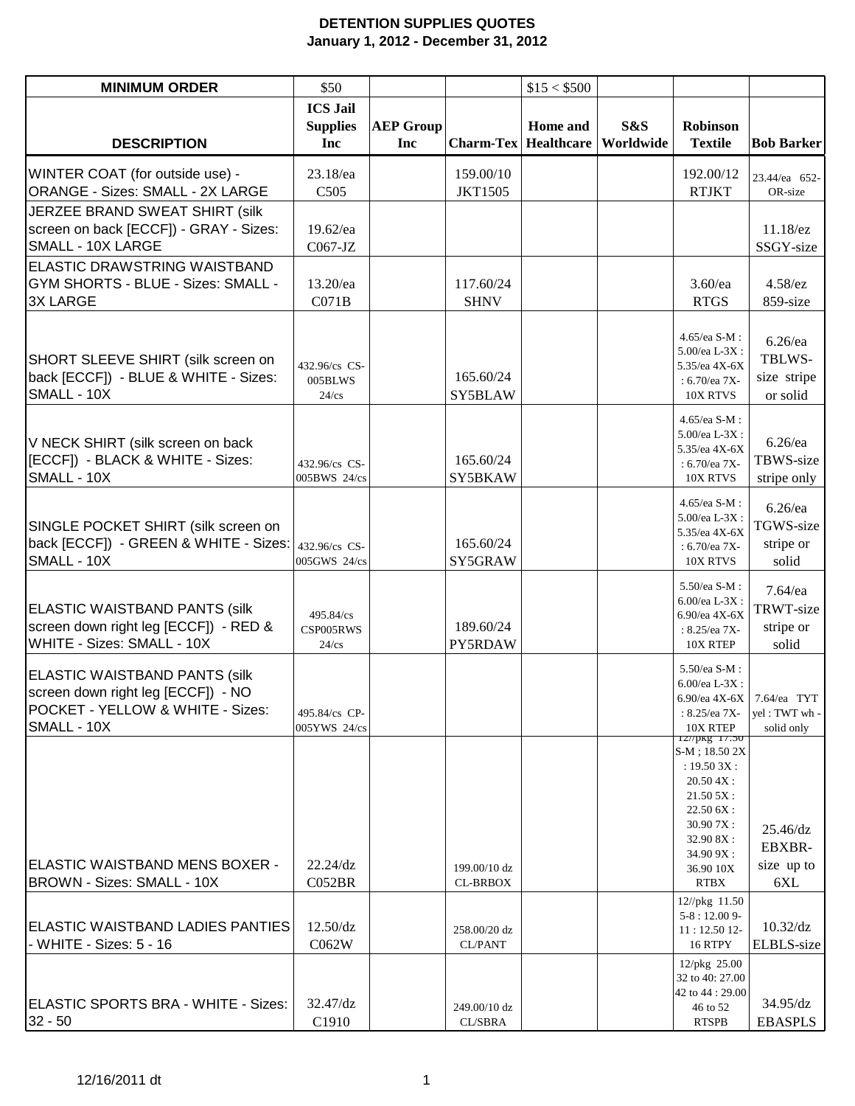| <b>MINIMUM ORDER</b>                                                                                                           | \$50                                 |                  |                                 | \$15 < \$500                |           |                                                                                                                                                   |                                                            |
|--------------------------------------------------------------------------------------------------------------------------------|--------------------------------------|------------------|---------------------------------|-----------------------------|-----------|---------------------------------------------------------------------------------------------------------------------------------------------------|------------------------------------------------------------|
|                                                                                                                                | <b>ICS Jail</b><br><b>Supplies</b>   | <b>AEP Group</b> |                                 | Home and                    | S&S       | Robinson                                                                                                                                          |                                                            |
| <b>DESCRIPTION</b>                                                                                                             | Inc                                  | Inc              |                                 | <b>Charm-Tex Healthcare</b> | Worldwide | <b>Textile</b>                                                                                                                                    | <b>Bob Barker</b>                                          |
| WINTER COAT (for outside use) -<br><b>ORANGE - Sizes: SMALL - 2X LARGE</b>                                                     | 23.18/ea<br>C505                     |                  | 159.00/10<br><b>JKT1505</b>     |                             |           | 192.00/12<br><b>RTJKT</b>                                                                                                                         | 23.44/ea 652-<br>OR-size                                   |
| JERZEE BRAND SWEAT SHIRT (silk<br>screen on back [ECCF]) - GRAY - Sizes:<br>SMALL - 10X LARGE                                  | 19.62/ea<br>$C067-JZ$                |                  |                                 |                             |           |                                                                                                                                                   | 11.18/ez<br>SSGY-size                                      |
| <b>ELASTIC DRAWSTRING WAISTBAND</b><br>GYM SHORTS - BLUE - Sizes: SMALL -<br><b>3X LARGE</b>                                   | 13.20/ea<br>CO71B                    |                  | 117.60/24<br><b>SHNV</b>        |                             |           | $3.60$ /ea<br><b>RTGS</b>                                                                                                                         | $4.58$ /ez<br>859-size                                     |
| SHORT SLEEVE SHIRT (silk screen on<br>back [ECCF]) - BLUE & WHITE - Sizes:<br>SMALL - 10X                                      | 432.96/cs CS-<br>005BLWS<br>$24$ /cs |                  | 165.60/24<br>SY5BLAW            |                             |           | 4.65/ea S-M:<br>5.00/ea L-3X:<br>5.35/ea 4X-6X<br>: 6.70/ea 7X-<br>10X RTVS                                                                       | $6.26$ /ea<br>TBLWS-<br>size stripe<br>or solid            |
| V NECK SHIRT (silk screen on back<br>[ECCF]) - BLACK & WHITE - Sizes:<br>SMALL - 10X                                           | 432.96/cs CS-<br>005BWS 24/cs        |                  | 165.60/24<br>SY5BKAW            |                             |           | 4.65/ea S-M:<br>5.00/ea L-3X:<br>5.35/ea 4X-6X<br>: 6.70/ea $7X-$<br>10X RTVS                                                                     | $6.26$ /ea<br>TBWS-size<br>stripe only                     |
| SINGLE POCKET SHIRT (silk screen on<br>back [ECCF]) - GREEN & WHITE - Sizes:<br>SMALL - 10X                                    | 432.96/cs CS-<br>005GWS 24/cs        |                  | 165.60/24<br>SY5GRAW            |                             |           | $4.65$ /ea S-M :<br>5.00/ea L-3X :<br>5.35/ea 4X-6X<br>: 6.70/ea 7X-<br>10X RTVS                                                                  | $6.26$ /ea<br>TGWS-size<br>stripe or<br>solid              |
| <b>ELASTIC WAISTBAND PANTS (silk</b><br>screen down right leg [ECCF]) - RED &<br>WHITE - Sizes: SMALL - 10X                    | 495.84/cs<br>CSP005RWS<br>$24$ /cs   |                  | 189.60/24<br>PY5RDAW            |                             |           | $5.50/\mathrm{ea}$ S-M :<br>$6.00$ /ea L- $3X$ :<br>6.90/ea $4X-6X$<br>: $8.25$ /ea 7X-<br>10X RTEP                                               | $7.64$ /ea<br>TRWT-size<br>stripe or<br>solid              |
| <b>ELASTIC WAISTBAND PANTS (silk)</b><br>screen down right leg [ECCF]) - NO<br>POCKET - YELLOW & WHITE - Sizes:<br>SMALL - 10X | 495.84/cs CP-<br>005YWS 24/cs        |                  |                                 |                             |           | 5.50/ea S-M :<br>$6.00$ /ea L-3X :<br>: $8.25$ /ea 7X-<br>10X RTEP<br>$127$ pKg $17.30$<br>S-M; 18.50 2X<br>: $19.503X$ :<br>20.504X:<br>21.505X: | 6.90/ea $4X-6X$ 7.64/ea TYT<br>yel: TWT wh -<br>solid only |
| ELASTIC WAISTBAND MENS BOXER -<br>BROWN - Sizes: SMALL - 10X                                                                   | 22.24/dz<br>CO52BR                   |                  | 199.00/10 dz<br><b>CL-BRBOX</b> |                             |           | $22.506X$ :<br>30.907X:<br>32.90 8X:<br>34.90 9X:<br>36.90 10X<br><b>RTBX</b>                                                                     | 25.46/dz<br>EBXBR-<br>size up to<br>6XL                    |
| <b>ELASTIC WAISTBAND LADIES PANTIES</b><br>- WHITE - Sizes: 5 - 16                                                             | 12.50/dz<br>C062W                    |                  | 258.00/20 dz<br><b>CL/PANT</b>  |                             |           | 12//pkg 11.50<br>$5-8:12.009-$<br>11:12.50 12-<br>16 RTPY                                                                                         | $10.32$ /dz<br>ELBLS-size                                  |
| ELASTIC SPORTS BRA - WHITE - Sizes:                                                                                            | $32.47$ /dz                          |                  | 249.00/10 dz                    |                             |           | 12/pkg 25.00<br>32 to 40: 27.00<br>42 to 44:29.00<br>46 to 52                                                                                     | $34.95$ /dz                                                |
| $32 - 50$                                                                                                                      | C1910                                |                  | <b>CL/SBRA</b>                  |                             |           | <b>RTSPB</b>                                                                                                                                      | <b>EBASPLS</b>                                             |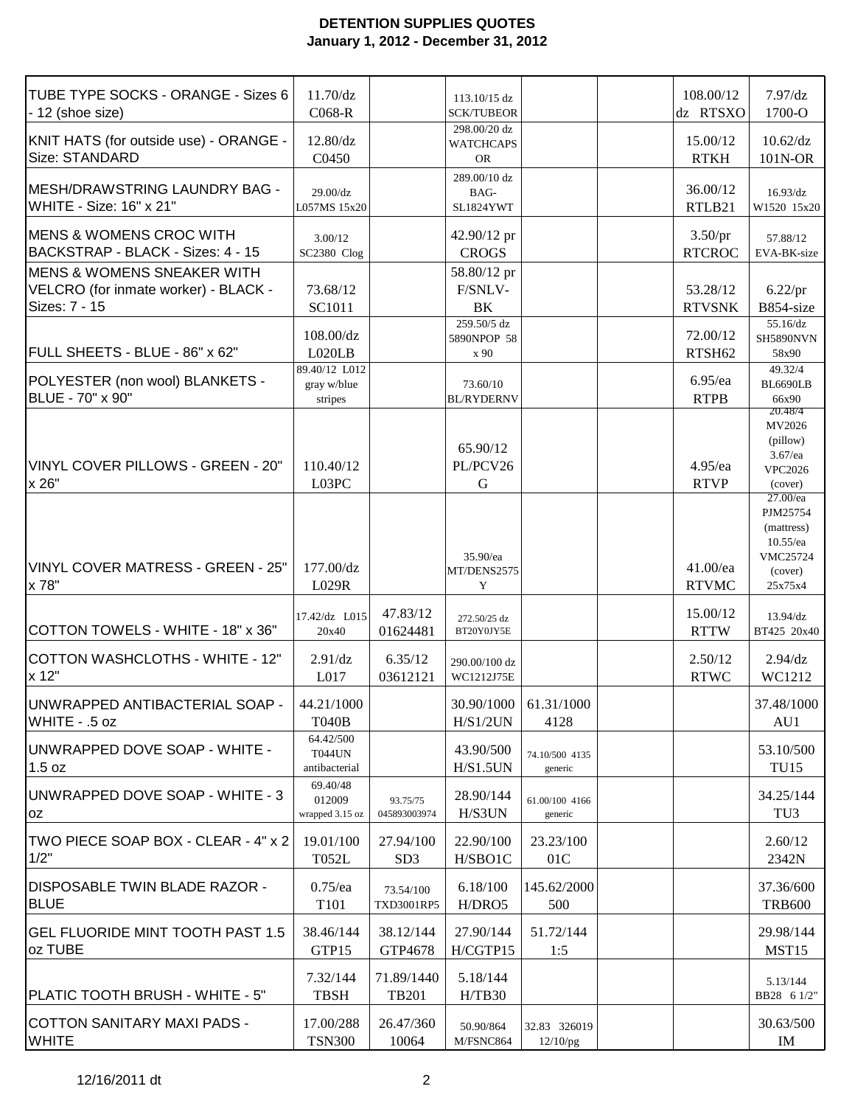| TUBE TYPE SOCKS - ORANGE - Sizes 6<br>- 12 (shoe size)                                         | 11.70/dz<br>$C068-R$                        |                                | 113.10/15 dz<br><b>SCK/TUBEOR</b>             |                               | 108.00/12<br>dz RTSXO     | 7.97/dz<br>1700-O                                                                          |
|------------------------------------------------------------------------------------------------|---------------------------------------------|--------------------------------|-----------------------------------------------|-------------------------------|---------------------------|--------------------------------------------------------------------------------------------|
| KNIT HATS (for outside use) - ORANGE -<br>Size: STANDARD                                       | 12.80/dz<br>C0450                           |                                | 298.00/20 dz<br><b>WATCHCAPS</b><br><b>OR</b> |                               | 15.00/12<br><b>RTKH</b>   | $10.62$ /dz<br>101N-OR                                                                     |
| MESH/DRAWSTRING LAUNDRY BAG -<br>WHITE - Size: 16" x 21"                                       | 29.00/dz<br>L057MS 15x20                    |                                | 289.00/10 dz<br>BAG-<br>SL1824YWT             |                               | 36.00/12<br>RTLB21        | $16.93$ /dz<br>W1520 15x20                                                                 |
| <b>MENS &amp; WOMENS CROC WITH</b><br>BACKSTRAP - BLACK - Sizes: 4 - 15                        | 3.00/12<br>SC2380 Clog                      |                                | 42.90/12 pr<br><b>CROGS</b>                   |                               | 3.50/pr<br><b>RTCROC</b>  | 57.88/12<br>EVA-BK-size                                                                    |
| <b>MENS &amp; WOMENS SNEAKER WITH</b><br>VELCRO (for inmate worker) - BLACK -<br>Sizes: 7 - 15 | 73.68/12<br>SC1011                          |                                | 58.80/12 pr<br>F/SNLV-<br><b>BK</b>           |                               | 53.28/12<br><b>RTVSNK</b> | $6.22$ /pr<br>B854-size                                                                    |
| FULL SHEETS - BLUE - 86" x 62"                                                                 | 108.00/dz<br>LO20LB                         |                                | 259.50/5 dz<br>5890NPOP 58<br>x 90            |                               | 72.00/12<br>RTSH62        | 55.16/dz<br>SH5890NVN<br>58x90                                                             |
| POLYESTER (non wool) BLANKETS -<br>BLUE - 70" x 90"                                            | 89.40/12 L012<br>gray w/blue<br>stripes     |                                | 73.60/10<br><b>BL/RYDERNV</b>                 |                               | $6.95$ /ea<br><b>RTPB</b> | 49.32/4<br><b>BL6690LB</b><br>66x90<br>20.48/4                                             |
| VINYL COVER PILLOWS - GREEN - 20"<br>x 26"                                                     | 110.40/12<br>L03PC                          |                                | 65.90/12<br>PL/PCV26<br>G                     |                               | 4.95/ea<br><b>RTVP</b>    | MV2026<br>(pillow)<br>$3.67$ /ea<br><b>VPC2026</b><br>(cover)                              |
| VINYL COVER MATRESS - GREEN - 25"<br>x 78"                                                     | 177.00/dz<br>L029R                          |                                | 35.90/ea<br>MT/DENS2575<br>Y                  |                               | 41.00/ea<br><b>RTVMC</b>  | 27.00/ea<br>PJM25754<br>(mattress)<br>$10.55$ /ea<br><b>VMC25724</b><br>(cover)<br>25x75x4 |
| COTTON TOWELS - WHITE - 18" x 36"                                                              | 17.42/dz L015<br>20x40                      | 47.83/12<br>01624481           | 272.50/25 dz<br>BT20Y0JY5E                    |                               | 15.00/12<br><b>RTTW</b>   | $13.94$ /dz<br>BT425 20x40                                                                 |
| COTTON WASHCLOTHS - WHITE - 12"<br>x 12"                                                       | 2.91/dz<br>L017                             | 6.35/12<br>03612121            | 290.00/100 dz<br>WC1212J75E                   |                               | 2.50/12<br><b>RTWC</b>    | $2.94$ /dz<br>WC1212                                                                       |
| UNWRAPPED ANTIBACTERIAL SOAP -<br>WHITE - .5 oz                                                | 44.21/1000<br><b>T040B</b>                  |                                | H/S1/2UN                                      | 30.90/1000 61.31/1000<br>4128 |                           | 37.48/1000<br>AU1                                                                          |
| UNWRAPPED DOVE SOAP - WHITE -<br>1.5 oz                                                        | 64.42/500<br><b>T044UN</b><br>antibacterial |                                | 43.90/500<br>H/S1.5UN                         | 74.10/500 4135<br>generic     |                           | 53.10/500<br><b>TU15</b>                                                                   |
| UNWRAPPED DOVE SOAP - WHITE - 3<br>0Z                                                          | 69.40/48<br>012009<br>wrapped 3.15 oz       | 93.75/75<br>045893003974       | 28.90/144<br>H/S3UN                           | 61.00/100 4166<br>generic     |                           | 34.25/144<br>TU <sub>3</sub>                                                               |
| ITWO PIECE SOAP BOX - CLEAR - 4" x 2<br>1/2"                                                   | 19.01/100<br><b>T052L</b>                   | 27.94/100<br>SD <sub>3</sub>   | 22.90/100<br>H/SBO1C                          | 23.23/100<br>01C              |                           | 2.60/12<br>2342N                                                                           |
| <b>DISPOSABLE TWIN BLADE RAZOR -</b><br><b>BLUE</b>                                            | $0.75$ /ea<br>T <sub>101</sub>              | 73.54/100<br><b>TXD3001RP5</b> | 6.18/100<br>H/DRO5                            | 145.62/2000<br>500            |                           | 37.36/600<br><b>TRB600</b>                                                                 |
| <b>GEL FLUORIDE MINT TOOTH PAST 1.5</b><br>oz TUBE                                             | 38.46/144<br>GTP15                          | 38.12/144<br>GTP4678           | 27.90/144<br>H/CGTP15                         | 51.72/144<br>1:5              |                           | 29.98/144<br>MST15                                                                         |
| PLATIC TOOTH BRUSH - WHITE - 5"                                                                | 7.32/144<br><b>TBSH</b>                     | 71.89/1440<br><b>TB201</b>     | 5.18/144<br>H/TB30                            |                               |                           | 5.13/144<br>BB28 6 1/2"                                                                    |
| COTTON SANITARY MAXI PADS -<br><b>WHITE</b>                                                    | 17.00/288<br><b>TSN300</b>                  | 26.47/360<br>10064             | 50.90/864<br>M/FSNC864                        | 32.83 326019<br>$12/10$ /pg   |                           | 30.63/500<br>IM                                                                            |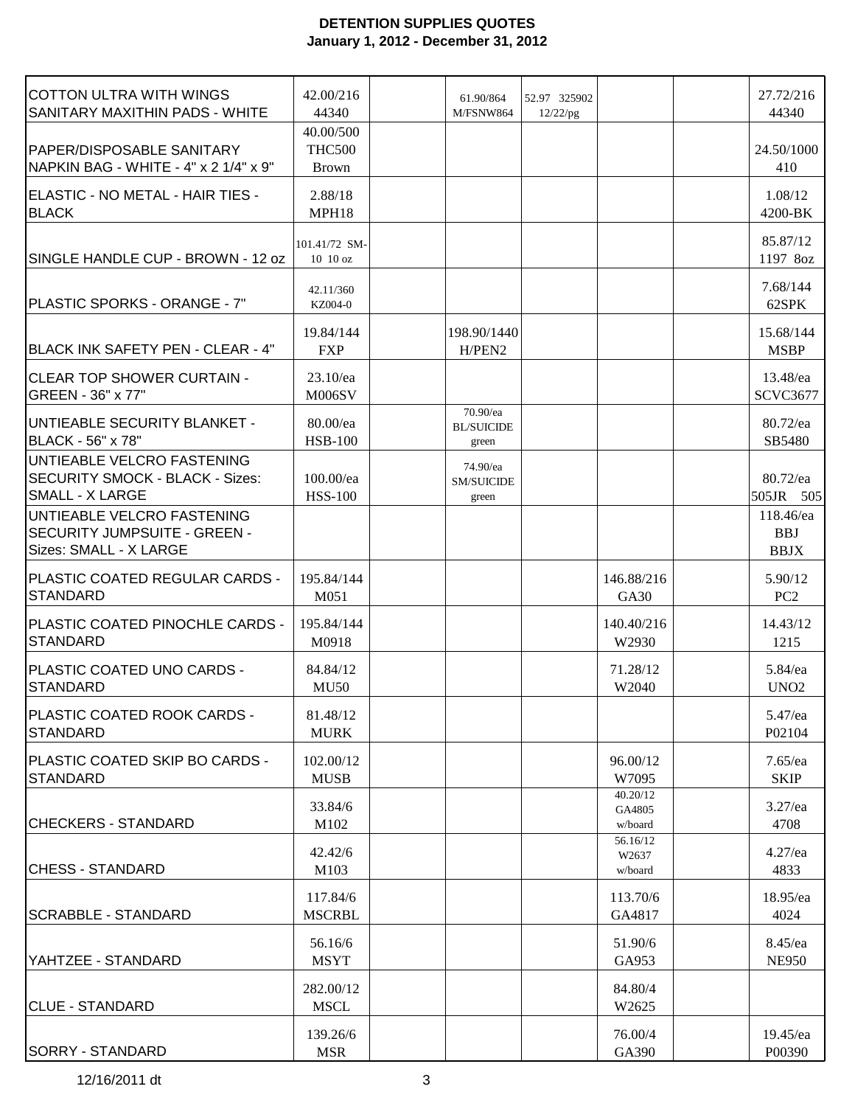| COTTON ULTRA WITH WINGS<br>SANITARY MAXITHIN PADS - WHITE                                              | 42.00/216<br>44340<br>40.00/500 | 61.90/864<br>M/FSNW864                 | 52.97 325902<br>12/22/pg |                               | 27.72/216<br>44340                     |
|--------------------------------------------------------------------------------------------------------|---------------------------------|----------------------------------------|--------------------------|-------------------------------|----------------------------------------|
| PAPER/DISPOSABLE SANITARY<br>NAPKIN BAG - WHITE - 4" x 2 1/4" x 9"                                     | <b>THC500</b><br><b>Brown</b>   |                                        |                          |                               | 24.50/1000<br>410                      |
| ELASTIC - NO METAL - HAIR TIES -<br><b>BLACK</b>                                                       | 2.88/18<br>MPH18                |                                        |                          |                               | 1.08/12<br>4200-BK                     |
| SINGLE HANDLE CUP - BROWN - 12 oz                                                                      | 101.41/72 SM-<br>10 10 oz       |                                        |                          |                               | 85.87/12<br>1197 8oz                   |
| PLASTIC SPORKS - ORANGE - 7"                                                                           | 42.11/360<br>KZ004-0            |                                        |                          |                               | 7.68/144<br>62SPK                      |
| BLACK INK SAFETY PEN - CLEAR - 4"                                                                      | 19.84/144<br><b>FXP</b>         | 198.90/1440<br>H/PEN2                  |                          |                               | 15.68/144<br><b>MSBP</b>               |
| <b>CLEAR TOP SHOWER CURTAIN -</b><br><b>GREEN - 36" x 77"</b>                                          | 23.10/ea<br><b>M006SV</b>       |                                        |                          |                               | 13.48/ea<br><b>SCVC3677</b>            |
| UNTIEABLE SECURITY BLANKET -<br>BLACK - 56" x 78"                                                      | 80.00/ea<br><b>HSB-100</b>      | 70.90/ea<br><b>BL/SUICIDE</b><br>green |                          |                               | 80.72/ea<br>SB5480                     |
| <b>IUNTIEABLE VELCRO FASTENING</b><br><b>SECURITY SMOCK - BLACK - Sizes:</b><br><b>SMALL - X LARGE</b> | 100.00/ea<br><b>HSS-100</b>     | 74.90/ea<br>SM/SUICIDE<br>green        |                          |                               | 80.72/ea<br>505JR<br>505               |
| UNTIEABLE VELCRO FASTENING<br>SECURITY JUMPSUITE - GREEN -<br>Sizes: SMALL - X LARGE                   |                                 |                                        |                          |                               | 118.46/ea<br><b>BBJ</b><br><b>BBJX</b> |
| <b>PLASTIC COATED REGULAR CARDS -</b><br>STANDARD                                                      | 195.84/144<br>M051              |                                        |                          | 146.88/216<br>GA30            | 5.90/12<br>PC <sub>2</sub>             |
| <b>PLASTIC COATED PINOCHLE CARDS -</b><br><b>STANDARD</b>                                              | 195.84/144<br>M0918             |                                        |                          | 140.40/216<br>W2930           | 14.43/12<br>1215                       |
| PLASTIC COATED UNO CARDS -<br>STANDARD                                                                 | 84.84/12<br><b>MU50</b>         |                                        |                          | 71.28/12<br>W2040             | 5.84/ea<br>UNO <sub>2</sub>            |
| <b>PLASTIC COATED ROOK CARDS -</b><br><b>STANDARD</b>                                                  | 81.48/12<br><b>MURK</b>         |                                        |                          |                               | 5.47/ea<br>P02104                      |
| PLASTIC COATED SKIP BO CARDS -<br>STANDARD                                                             | 102.00/12<br><b>MUSB</b>        |                                        |                          | 96.00/12<br>W7095             | $7.65$ /ea<br><b>SKIP</b>              |
| <b>ICHECKERS - STANDARD</b>                                                                            | 33.84/6<br>M102                 |                                        |                          | 40.20/12<br>GA4805<br>w/board | $3.27$ /ea<br>4708                     |
| <b>CHESS - STANDARD</b>                                                                                | 42.42/6<br>M103                 |                                        |                          | 56.16/12<br>W2637<br>w/board  | $4.27$ /ea<br>4833                     |
| <b>SCRABBLE - STANDARD</b>                                                                             | 117.84/6<br><b>MSCRBL</b>       |                                        |                          | 113.70/6<br>GA4817            | 18.95/ea<br>4024                       |
| YAHTZEE - STANDARD                                                                                     | 56.16/6<br><b>MSYT</b>          |                                        |                          | 51.90/6<br>GA953              | 8.45/ea<br><b>NE950</b>                |
| <b>CLUE - STANDARD</b>                                                                                 | 282.00/12<br><b>MSCL</b>        |                                        |                          | 84.80/4<br>W2625              |                                        |
| <b>SORRY - STANDARD</b>                                                                                | 139.26/6<br><b>MSR</b>          |                                        |                          | 76.00/4<br>GA390              | 19.45/ea<br>P00390                     |